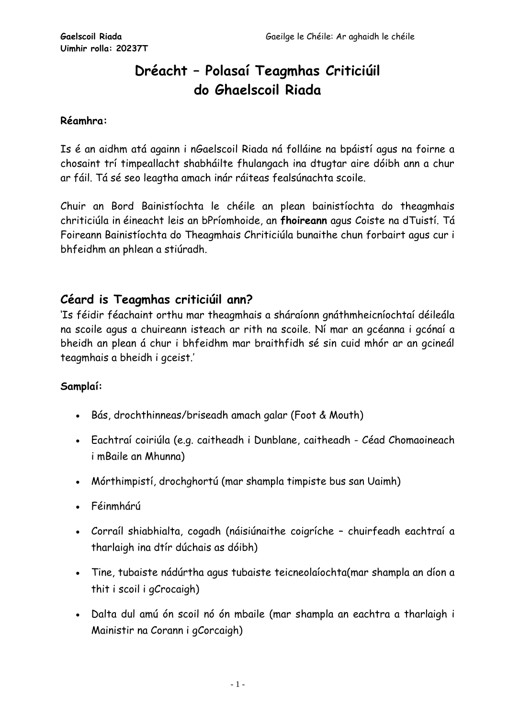## **Dréacht – Polasaí Teagmhas Criticiúil do Ghaelscoil Riada**

#### **Réamhra:**

Is é an aidhm atá againn i nGaelscoil Riada ná folláine na bpáistí agus na foirne a chosaint trí timpeallacht shabháilte fhulangach ina dtugtar aire dóibh ann a chur ar fáil. Tá sé seo leagtha amach inár ráiteas fealsúnachta scoile.

Chuir an Bord Bainistíochta le chéile an plean bainistíochta do theagmhais chriticiúla in éineacht leis an bPríomhoide, an **fhoireann** agus Coiste na dTuistí. Tá Foireann Bainistíochta do Theagmhais Chriticiúla bunaithe chun forbairt agus cur i bhfeidhm an phlean a stiúradh.

### **Céard is Teagmhas criticiúil ann?**

'Is féidir féachaint orthu mar theagmhais a sháraíonn gnáthmheicníochtaí déileála na scoile agus a chuireann isteach ar rith na scoile. Ní mar an gcéanna i gcónaí a bheidh an plean á chur i bhfeidhm mar braithfidh sé sin cuid mhór ar an gcineál teagmhais a bheidh i gceist.'

#### **Samplaí:**

- Bás, drochthinneas/briseadh amach galar (Foot & Mouth)
- Eachtraí coiriúla (e.g. caitheadh i Dunblane, caitheadh Céad Chomaoineach i mBaile an Mhunna)
- Mórthimpistí, drochghortú (mar shampla timpiste bus san Uaimh)
- Féinmhárú
- Corraíl shiabhialta, cogadh (náisiúnaithe coigríche chuirfeadh eachtraí a tharlaigh ina dtír dúchais as dóibh)
- Tine, tubaiste nádúrtha agus tubaiste teicneolaíochta(mar shampla an díon a thit i scoil i gCrocaigh)
- Dalta dul amú ón scoil nó ón mbaile (mar shampla an eachtra a tharlaigh i Mainistir na Corann i gCorcaigh)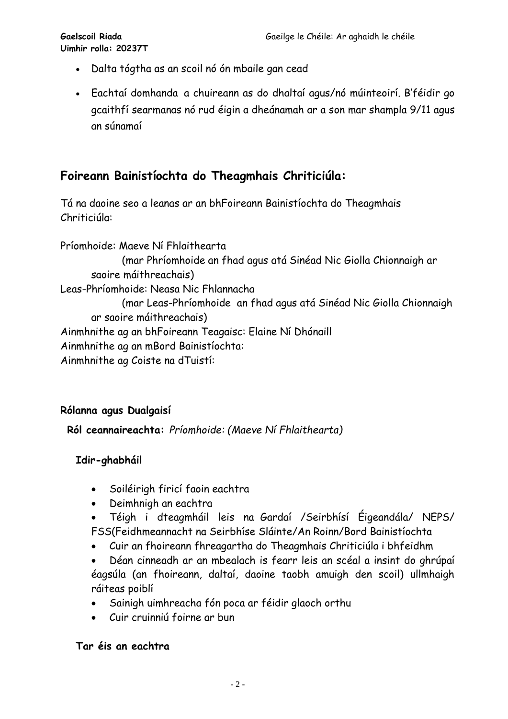- Dalta tógtha as an scoil nó ón mbaile gan cead
- Eachtaí domhanda a chuireann as do dhaltaí agus/nó múinteoirí. B'féidir go gcaithfí searmanas nó rud éigin a dheánamah ar a son mar shampla 9/11 agus an súnamaí

## **Foireann Bainistíochta do Theagmhais Chriticiúla:**

Tá na daoine seo a leanas ar an bhFoireann Bainistíochta do Theagmhais Chriticiúla:

Príomhoide: Maeve Ní Fhlaithearta (mar Phríomhoide an fhad agus atá Sinéad Nic Giolla Chionnaigh ar saoire máithreachais) Leas-Phríomhoide: Neasa Nic Fhlannacha (mar Leas-Phríomhoide an fhad agus atá Sinéad Nic Giolla Chionnaigh ar saoire máithreachais) Ainmhnithe ag an bhFoireann Teagaisc: Elaine Ní Dhónaill Ainmhnithe ag an mBord Bainistíochta: Ainmhnithe ag Coiste na dTuistí:

#### **Rólanna agus Dualgaisí**

**Ról ceannaireachta:** *Príomhoide: (Maeve Ní Fhlaithearta)*

#### **Idir-ghabháil**

- Soiléirigh firicí faoin eachtra
- Deimhnigh an eachtra
- Téigh i dteagmháil leis na Gardaí /Seirbhísí Éigeandála/ NEPS/ FSS(Feidhmeannacht na Seirbhíse Sláinte/An Roinn/Bord Bainistíochta
- Cuir an fhoireann fhreagartha do Theagmhais Chriticiúla i bhfeidhm
- Déan cinneadh ar an mbealach is fearr leis an scéal a insint do ghrúpaí éagsúla (an fhoireann, daltaí, daoine taobh amuigh den scoil) ullmhaigh ráiteas poiblí
- Sainigh uimhreacha fón poca ar féidir glaoch orthu
- Cuir cruinniú foirne ar bun

#### **Tar éis an eachtra**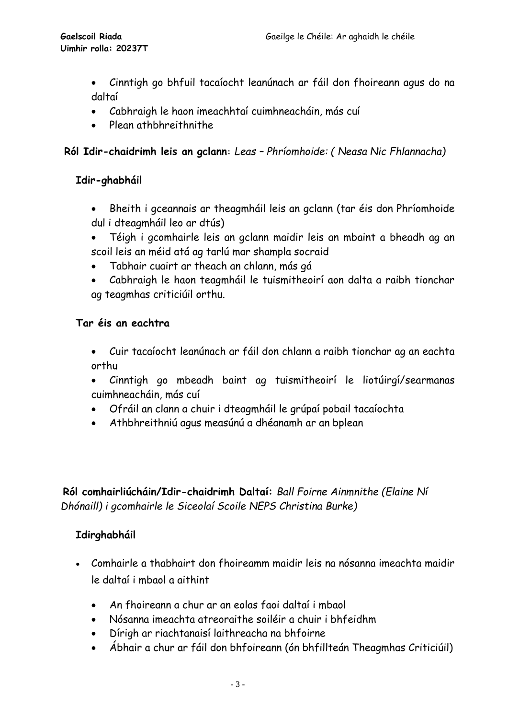- Cinntigh go bhfuil tacaíocht leanúnach ar fáil don fhoireann agus do na daltaí
- Cabhraigh le haon imeachhtaí cuimhneacháin, más cuí
- Plean athbhreithnithe

#### **Ról Idir-chaidrimh leis an gclann:** *Leas – Phríomhoide: ( Neasa Nic Fhlannacha)*

#### **Idir-ghabháil**

- Bheith i gceannais ar theagmháil leis an gclann (tar éis don Phríomhoide dul i dteagmháil leo ar dtús)
- Téigh i gcomhairle leis an gclann maidir leis an mbaint a bheadh ag an scoil leis an méid atá ag tarlú mar shampla socraid
- Tabhair cuairt ar theach an chlann, más gá
- Cabhraigh le haon teagmháil le tuismitheoirí aon dalta a raibh tionchar ag teagmhas criticiúil orthu.

#### **Tar éis an eachtra**

- Cuir tacaíocht leanúnach ar fáil don chlann a raibh tionchar ag an eachta orthu
- Cinntigh go mbeadh baint ag tuismitheoirí le liotúirgí/searmanas cuimhneacháin, más cuí
- Ofráil an clann a chuir i dteagmháil le grúpaí pobail tacaíochta
- Athbhreithniú agus measúnú a dhéanamh ar an bplean

**Ról comhairliúcháin/Idir-chaidrimh Daltaí:** *Ball Foirne Ainmnithe (Elaine Ní Dhónaill) i gcomhairle le Siceolaí Scoile NEPS Christina Burke)*

#### **Idirghabháil**

- Comhairle a thabhairt don fhoireamm maidir leis na nósanna imeachta maidir le daltaí i mbaol a aithint
	- An fhoireann a chur ar an eolas faoi daltaí i mbaol
	- Nósanna imeachta atreoraithe soiléir a chuir i bhfeidhm
	- Dírigh ar riachtanaisí laithreacha na bhfoirne
	- Ábhair a chur ar fáil don bhfoireann (ón bhfillteán Theagmhas Criticiúil)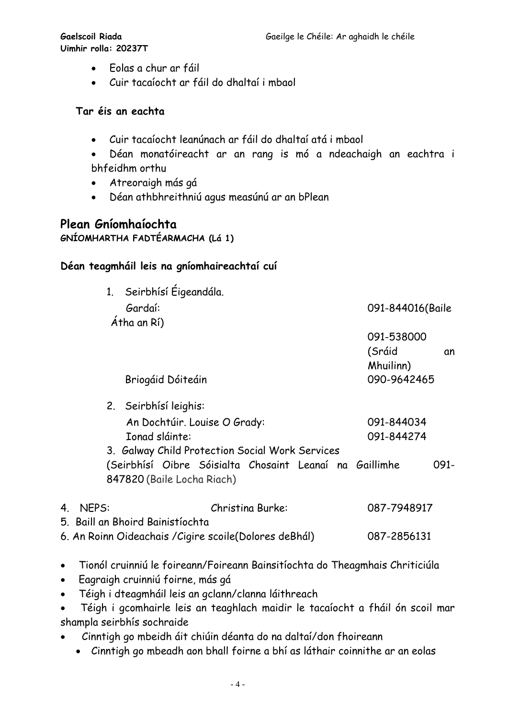**Uimhir rolla: 20237T**

- Eolas a chur ar fáil
- Cuir tacaíocht ar fáil do dhaltaí i mbaol

#### **Tar éis an eachta**

- Cuir tacaíocht leanúnach ar fáil do dhaltaí atá i mbaol
- Déan monatóireacht ar an rang is mó a ndeachaigh an eachtra i bhfeidhm orthu
- Atreoraigh más gá
- Déan athbhreithniú agus measúnú ar an bPlean

# **Plean Gníomhaíochta**

**GNÍOMHARTHA FADTÉARMACHA (Lá 1)**

#### **Déan teagmháil leis na gníomhaireachtaí cuí**

| 1. Seirbhísí Éigeandála.<br>Gardaí:<br>Átha an Rí)                                                                         | 091-844016(Baile                                       |
|----------------------------------------------------------------------------------------------------------------------------|--------------------------------------------------------|
| Briogáid Dóiteáin                                                                                                          | 091-538000<br>(Sráid<br>αn<br>Mhuilinn)<br>090-9642465 |
| 2. Seirbhísí leighis:<br>An Dochtúir. Louise O Grady:<br>Ionad sláinte:<br>3. Galway Child Protection Social Work Services | 091-844034<br>091-844274                               |
| (Seirbhísí Oibre Sóisialta Chosaint Leanaí na Gaillimhe<br>847820 (Baile Locha Riach)                                      | 091-                                                   |
| <b>NEPS:</b><br>4.<br>Christina Burke:<br>5. Baill an Bhoird Bainistíochta                                                 | 087-7948917                                            |
| 6. An Roinn Oideachais / Cigire scoile (Dolores de Bhál)                                                                   | 087-2856131                                            |

- Tionól cruinniú le foireann/Foireann Bainsitíochta do Theagmhais Chriticiúla
- Eagraigh cruinniú foirne, más gá
- Téigh i dteagmháil leis an gclann/clanna láithreach
- Téigh i gcomhairle leis an teaghlach maidir le tacaíocht a fháil ón scoil mar shampla seirbhís sochraide
- Cinntigh go mbeidh áit chiúin déanta do na daltaí/don fhoireann
	- Cinntigh go mbeadh aon bhall foirne a bhí as láthair coinnithe ar an eolas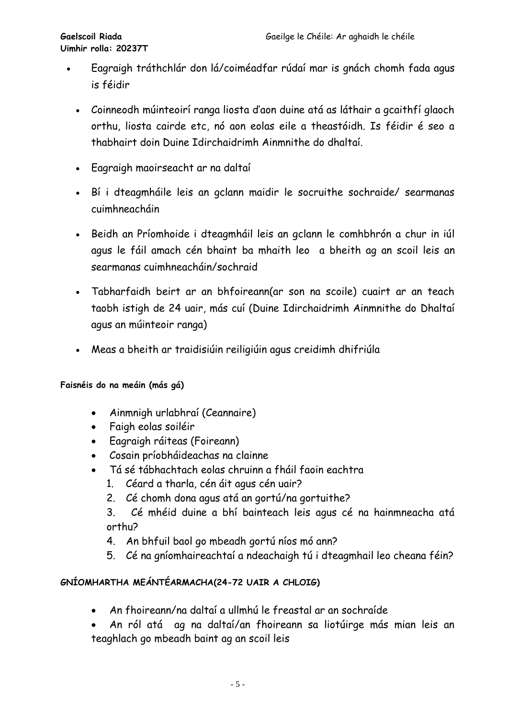- Eagraigh tráthchlár don lá/coiméadfar rúdaí mar is gnách chomh fada agus is féidir
	- Coinneodh múinteoirí ranga liosta d'aon duine atá as láthair a gcaithfí glaoch orthu, liosta cairde etc, nó aon eolas eile a theastóidh. Is féidir é seo a thabhairt doin Duine Idirchaidrimh Ainmnithe do dhaltaí.
	- Eagraigh maoirseacht ar na daltaí
	- Bí i dteagmháile leis an gclann maidir le socruithe sochraide/ searmanas cuimhneacháin
	- Beidh an Príomhoide i dteagmháil leis an gclann le comhbhrón a chur in iúl agus le fáil amach cén bhaint ba mhaith leo a bheith ag an scoil leis an searmanas cuimhneacháin/sochraid
	- Tabharfaidh beirt ar an bhfoireann(ar son na scoile) cuairt ar an teach taobh istigh de 24 uair, más cuí (Duine Idirchaidrimh Ainmnithe do Dhaltaí agus an múinteoir ranga)
	- Meas a bheith ar traidisiúin reiligiúin agus creidimh dhifriúla

**Faisnéis do na meáin (más gá)**

- Ainmnigh urlabhraí (Ceannaire)
- Faigh eolas soiléir
- Eagraigh ráiteas (Foireann)
- Cosain príobháideachas na clainne
- Tá sé tábhachtach eolas chruinn a fháil faoin eachtra
	- 1. Céard a tharla, cén áit agus cén uair?
	- 2. Cé chomh dona agus atá an gortú/na gortuithe?
	- 3. Cé mhéid duine a bhí bainteach leis agus cé na hainmneacha atá orthu?
	- 4. An bhfuil baol go mbeadh gortú níos mó ann?
	- 5. Cé na gníomhaireachtaí a ndeachaigh tú i dteagmhail leo cheana féin?

#### **GNÍOMHARTHA MEÁNTÉARMACHA(24-72 UAIR A CHLOIG)**

- An fhoireann/na daltaí a ullmhú le freastal ar an sochraíde
- An ról atá ag na daltaí/an fhoireann sa liotúirge más mian leis an teaghlach go mbeadh baint ag an scoil leis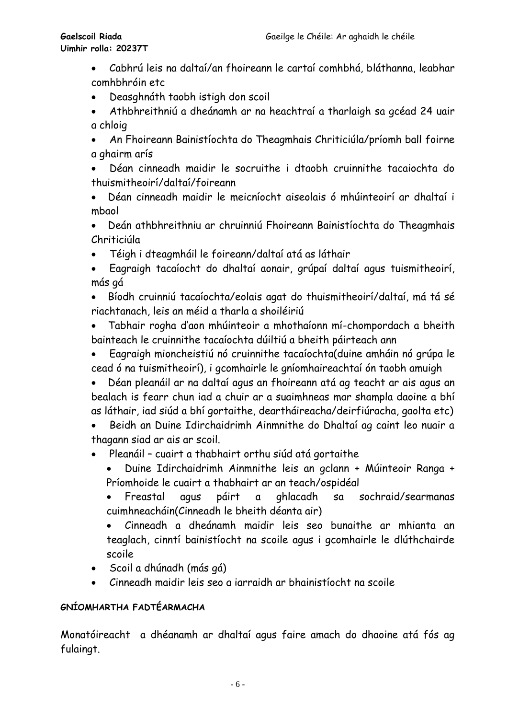- Cabhrú leis na daltaí/an fhoireann le cartaí comhbhá, bláthanna, leabhar comhbhróin etc
- Deasghnáth taobh istigh don scoil
- Athbhreithniú a dheánamh ar na heachtraí a tharlaigh sa gcéad 24 uair a chloig
- An Fhoireann Bainistíochta do Theagmhais Chriticiúla/príomh ball foirne a ghairm arís
- Déan cinneadh maidir le socruithe i dtaobh cruinnithe tacaiochta do thuismitheoirí/daltaí/foireann
- Déan cinneadh maidir le meicníocht aiseolais ó mhúinteoirí ar dhaltaí i mbaol
- Deán athbhreithniu ar chruinniú Fhoireann Bainistíochta do Theagmhais Chriticiúla
- Téigh i dteagmháil le foireann/daltaí atá as láthair
- Eagraigh tacaíocht do dhaltaí aonair, grúpaí daltaí agus tuismitheoirí, más gá
- Bíodh cruinniú tacaíochta/eolais agat do thuismitheoirí/daltaí, má tá sé riachtanach, leis an méid a tharla a shoiléiriú
- Tabhair rogha d'aon mhúinteoir a mhothaíonn mí-chompordach a bheith bainteach le cruinnithe tacaíochta dúiltiú a bheith páirteach ann
- Eagraigh mioncheistiú nó cruinnithe tacaíochta(duine amháin nó grúpa le cead ó na tuismitheoirí), i gcomhairle le gníomhaireachtaí ón taobh amuigh
- Déan pleanáil ar na daltaí agus an fhoireann atá ag teacht ar ais agus an bealach is fearr chun iad a chuir ar a suaimhneas mar shampla daoine a bhí as láthair, iad siúd a bhí gortaithe, deartháireacha/deirfiúracha, gaolta etc)
- Beidh an Duine Idirchaidrimh Ainmnithe do Dhaltaí ag caint leo nuair a thagann siad ar ais ar scoil.
- Pleanáil cuairt a thabhairt orthu siúd atá gortaithe
	- Duine Idirchaidrimh Ainmnithe leis an gclann + Múinteoir Ranga + Príomhoide le cuairt a thabhairt ar an teach/ospidéal
	- Freastal agus páirt a ghlacadh sa sochraid/searmanas cuimhneacháin(Cinneadh le bheith déanta air)
	- Cinneadh a dheánamh maidir leis seo bunaithe ar mhianta an teaglach, cinntí bainistíocht na scoile agus i gcomhairle le dlúthchairde scoile
- Scoil a dhúnadh (más gá)
- Cinneadh maidir leis seo a iarraidh ar bhainistíocht na scoile

#### **GNÍOMHARTHA FADTÉARMACHA**

Monatóireacht a dhéanamh ar dhaltaí agus faire amach do dhaoine atá fós ag fulaingt.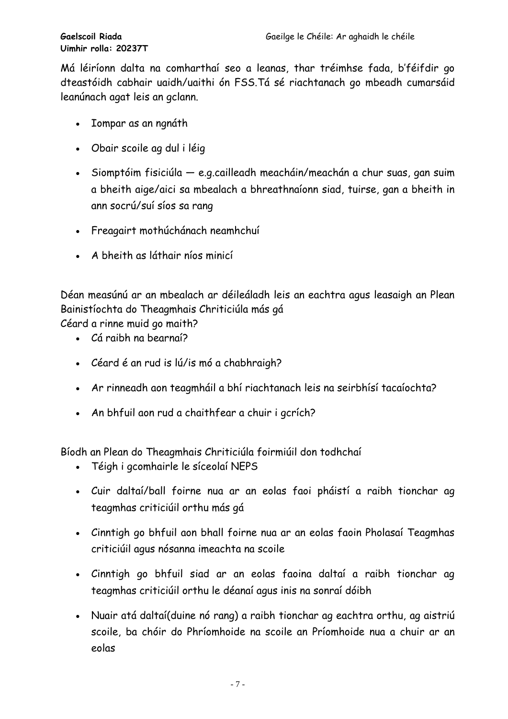Má léiríonn dalta na comharthaí seo a leanas, thar tréimhse fada, b'féifdir go dteastóidh cabhair uaidh/uaithi ón FSS.Tá sé riachtanach go mbeadh cumarsáid leanúnach agat leis an gclann.

- Iompar as an ngnáth
- Obair scoile ag dul i léig
- Siomptóim fisiciúla e.g.cailleadh meacháin/meachán a chur suas, gan suim a bheith aige/aici sa mbealach a bhreathnaíonn siad, tuirse, gan a bheith in ann socrú/suí síos sa rang
- Freagairt mothúchánach neamhchuí
- A bheith as láthair níos minicí

Déan measúnú ar an mbealach ar déileáladh leis an eachtra agus leasaigh an Plean Bainistíochta do Theagmhais Chriticiúla más gá Céard a rinne muid go maith?

• Cá raibh na bearnaí?

- Céard é an rud is lú/is mó a chabhraigh?
- Ar rinneadh aon teagmháil a bhí riachtanach leis na seirbhísí tacaíochta?
- An bhfuil aon rud a chaithfear a chuir i gcrích?

Bíodh an Plean do Theagmhais Chriticiúla foirmiúil don todhchaí

- Téigh i gcomhairle le síceolaí NEPS
- Cuir daltaí/ball foirne nua ar an eolas faoi pháistí a raibh tionchar ag teagmhas criticiúil orthu más gá
- Cinntigh go bhfuil aon bhall foirne nua ar an eolas faoin Pholasaí Teagmhas criticiúil agus nósanna imeachta na scoile
- Cinntigh go bhfuil siad ar an eolas faoina daltaí a raibh tionchar ag teagmhas criticiúil orthu le déanaí agus inis na sonraí dóibh
- Nuair atá daltaí(duine nó rang) a raibh tionchar ag eachtra orthu, ag aistriú scoile, ba chóir do Phríomhoide na scoile an Príomhoide nua a chuir ar an eolas